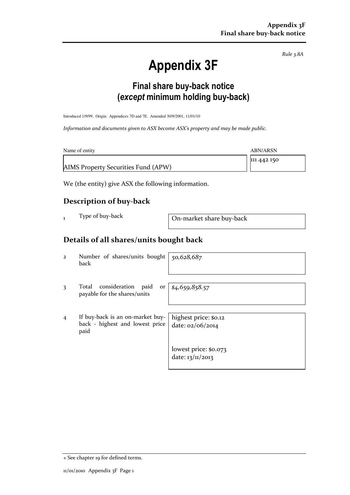Rule 3.8A

# Appendix 3F

## Final share buy-back notice (except minimum holding buy-back)

Introduced 1/9/99. Origin: Appendices 7D and 7E. Amended 30/9/2001, 11/01/10

Information and documents given to ASX become ASX's property and may be made public.

| Name of entity                      | ABN/ARSN    |
|-------------------------------------|-------------|
| AIMS Property Securities Fund (APW) | 111 442 150 |

We (the entity) give ASX the following information.

#### Description of buy-back

1 Type of buy-back On-market share buy-back

#### Details of all shares/units bought back

2 Number of shares/units bought back

50,628,687

3 Total consideration paid or payable for the shares/units

\$4,659,858.57

4 If buy-back is an on-market buyback - highest and lowest price paid

| highest price: \$0.12 |  |  |
|-----------------------|--|--|
| date: 02/06/2014      |  |  |
|                       |  |  |
|                       |  |  |
| lowest price: \$0.073 |  |  |
| date: 13/11/2013      |  |  |

<sup>+</sup> See chapter 19 for defined terms.